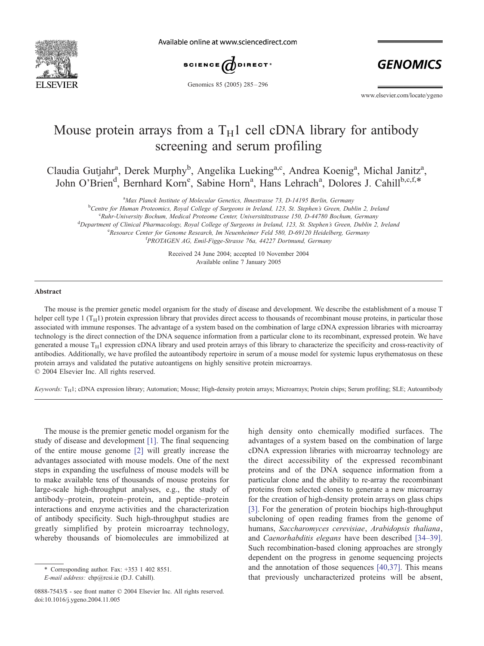

Available online at www.sciencedirect.com



Genomics 85 (2005) 285 – 296

**GENOMICS** 

www.elsevier.com/locate/ygeno

# Mouse protein arrays from a  $T_H1$  cell cDNA library for antibody screening and serum profiling

Claudia Gutjahr<sup>a</sup>, Derek Murphy<sup>b</sup>, Angelika Lueking<sup>a,c</sup>, Andrea Koenig<sup>a</sup>, Michal Janitz<sup>a</sup>, John O'Brien<sup>d</sup>, Bernhard Korn<sup>e</sup>, Sabine Horn<sup>a</sup>, Hans Lehrach<sup>a</sup>, Dolores J. Cahill<sup>b,c,f,\*</sup>

<sup>a</sup>Max Planck Institute of Molecular Genetics, Ihnestrasse 73, D-14195 Berlin, Germany

<sup>b</sup>Centre for Human Proteomics, Royal College of Surgeons in Ireland, 123, St. Stephen's Green, Dublin 2, Ireland<br>SPuhr University Bochum, Madical Proteoma Center, Universitätestrasse 150, D. 44780 Bochum, Germany

 $Ruhr$ -University Bochum, Medical Proteome Center, Universitätsstrasse 150, D-44780 Bochum, Germany <sup>d</sup>Department of Clinical Pharmacology, Royal College of Surgeons in Ireland, 123, St. Stephen's Green, Dublin 2, Ireland <sup>e</sup>Resource Center for Genome Research, Im Neuenheimer Feld 580, D-69120 Heidelberg, Germany <sup>f</sup> PROTAGEN AG, Emil-Figge-Strasse 76a, 44227 Dortmund, Germany

> Received 24 June 2004; accepted 10 November 2004 Available online 7 January 2005

#### Abstract

The mouse is the premier genetic model organism for the study of disease and development. We describe the establishment of a mouse T helper cell type 1  $(T_H1)$  protein expression library that provides direct access to thousands of recombinant mouse proteins, in particular those associated with immune responses. The advantage of a system based on the combination of large cDNA expression libraries with microarray technology is the direct connection of the DNA sequence information from a particular clone to its recombinant, expressed protein. We have generated a mouse  $T_H1$  expression cDNA library and used protein arrays of this library to characterize the specificity and cross-reactivity of antibodies. Additionally, we have profiled the autoantibody repertoire in serum of a mouse model for systemic lupus erythematosus on these protein arrays and validated the putative autoantigens on highly sensitive protein microarrays.  $© 2004 Elsevier Inc. All rights reserved.$ 

Keywords: T<sub>H</sub>1; cDNA expression library; Automation; Mouse; High-density protein arrays; Microarrays; Protein chips; Serum profiling; SLE; Autoantibody

The mouse is the premier genetic model organism for the study of disease and development [\[1\].](#page-10-0) The final sequencing of the entire mouse genome [\[2\]](#page-10-0) will greatly increase the advantages associated with mouse models. One of the next steps in expanding the usefulness of mouse models will be to make available tens of thousands of mouse proteins for large-scale high-throughput analyses, e.g., the study of antibody–protein, protein–protein, and peptide–protein interactions and enzyme activities and the characterization of antibody specificity. Such high-throughput studies are greatly simplified by protein microarray technology, whereby thousands of biomolecules are immobilized at

high density onto chemically modified surfaces. The advantages of a system based on the combination of large cDNA expression libraries with microarray technology are the direct accessibility of the expressed recombinant proteins and of the DNA sequence information from a particular clone and the ability to re-array the recombinant proteins from selected clones to generate a new microarray for the creation of high-density protein arrays on glass chips [\[3\].](#page-10-0) For the generation of protein biochips high-throughput subcloning of open reading frames from the genome of humans, Saccharomyces cerevisiae, Arabidopsis thaliana, and Caenorhabditis elegans have been described [\[34–39\].](#page-11-0) Such recombination-based cloning approaches are strongly dependent on the progress in genome sequencing projects and the annotation of those sequences [\[40,37\].](#page-11-0) This means that previously uncharacterized proteins will be absent,

<sup>\*</sup> Corresponding author. Fax: +353 1 402 8551.

E-mail address: chp@rcsi.ie (D.J. Cahill).

<sup>0888-7543/\$ -</sup> see front matter © 2004 Elsevier Inc. All rights reserved. doi:10.1016/j.ygeno.2004.11.005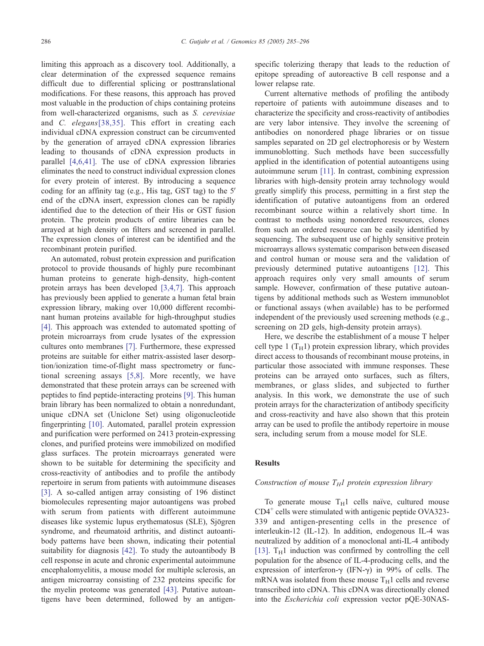limiting this approach as a discovery tool. Additionally, a clear determination of the expressed sequence remains difficult due to differential splicing or posttranslational modifications. For these reasons, this approach has proved most valuable in the production of chips containing proteins from well-characterized organisms, such as S. cerevisiae and C. elegans[\[38,35\].](#page-11-0) This effort in creating each individual cDNA expression construct can be circumvented by the generation of arrayed cDNA expression libraries leading to thousands of cDNA expression products in parallel [\[4,6,41\].](#page-10-0) The use of cDNA expression libraries eliminates the need to construct individual expression clones for every protein of interest. By introducing a sequence coding for an affinity tag (e.g., His tag, GST tag) to the  $5'$ end of the cDNA insert, expression clones can be rapidly identified due to the detection of their His or GST fusion protein. The protein products of entire libraries can be arrayed at high density on filters and screened in parallel. The expression clones of interest can be identified and the recombinant protein purified.

An automated, robust protein expression and purification protocol to provide thousands of highly pure recombinant human proteins to generate high-density, high-content protein arrays has been developed [\[3,4,7\].](#page-10-0) This approach has previously been applied to generate a human fetal brain expression library, making over 10,000 different recombinant human proteins available for high-throughput studies [\[4\]](#page-10-0). This approach was extended to automated spotting of protein microarrays from crude lysates of the expression cultures onto membranes [\[7\].](#page-10-0) Furthermore, these expressed proteins are suitable for either matrix-assisted laser desorption/ionization time-of-flight mass spectrometry or functional screening assays [\[5,8\].](#page-10-0) More recently, we have demonstrated that these protein arrays can be screened with peptides to find peptide-interacting proteins [\[9\].](#page-10-0) This human brain library has been normalized to obtain a nonredundant, unique cDNA set (Uniclone Set) using oligonucleotide fingerprinting [\[10\].](#page-10-0) Automated, parallel protein expression and purification were performed on 2413 protein-expressing clones, and purified proteins were immobilized on modified glass surfaces. The protein microarrays generated were shown to be suitable for determining the specificity and cross-reactivity of antibodies and to profile the antibody repertoire in serum from patients with autoimmune diseases [\[3\]](#page-10-0). A so-called antigen array consisting of 196 distinct biomolecules representing major autoantigens was probed with serum from patients with different autoimmune diseases like systemic lupus erythematosus (SLE), Sjögren syndrome, and rheumatoid arthritis, and distinct autoantibody patterns have been shown, indicating their potential suitability for diagnosis [\[42\].](#page-11-0) To study the autoantibody B cell response in acute and chronic experimental autoimmune encephalomyelitis, a mouse model for multiple sclerosis, an antigen microarray consisting of 232 proteins specific for the myelin proteome was generated [\[43\].](#page-11-0) Putative autoantigens have been determined, followed by an antigenspecific tolerizing therapy that leads to the reduction of epitope spreading of autoreactive B cell response and a lower relapse rate.

Current alternative methods of profiling the antibody repertoire of patients with autoimmune diseases and to characterize the specificity and cross-reactivity of antibodies are very labor intensive. They involve the screening of antibodies on nonordered phage libraries or on tissue samples separated on 2D gel electrophoresis or by Western immunoblotting. Such methods have been successfully applied in the identification of potential autoantigens using autoimmune serum [\[11\].](#page-10-0) In contrast, combining expression libraries with high-density protein array technology would greatly simplify this process, permitting in a first step the identification of putative autoantigens from an ordered recombinant source within a relatively short time. In contrast to methods using nonordered resources, clones from such an ordered resource can be easily identified by sequencing. The subsequent use of highly sensitive protein microarrays allows systematic comparison between diseased and control human or mouse sera and the validation of previously determined putative autoantigens [\[12\].](#page-10-0) This approach requires only very small amounts of serum sample. However, confirmation of these putative autoantigens by additional methods such as Western immunoblot or functional assays (when available) has to be performed independent of the previously used screening methods (e.g., screening on 2D gels, high-density protein arrays).

Here, we describe the establishment of a mouse T helper cell type 1  $(T_H1)$  protein expression library, which provides direct access to thousands of recombinant mouse proteins, in particular those associated with immune responses. These proteins can be arrayed onto surfaces, such as filters, membranes, or glass slides, and subjected to further analysis. In this work, we demonstrate the use of such protein arrays for the characterization of antibody specificity and cross-reactivity and have also shown that this protein array can be used to profile the antibody repertoire in mouse sera, including serum from a mouse model for SLE.

# Results

# Construction of mouse  $T_H1$  protein expression library

To generate mouse  $T_H1$  cells naïve, cultured mouse  $CD4^+$  cells were stimulated with antigenic peptide OVA323-339 and antigen-presenting cells in the presence of interleukin-12 (IL-12). In addition, endogenous IL-4 was neutralized by addition of a monoclonal anti-IL-4 antibody [\[13\].](#page-10-0)  $T_H1$  induction was confirmed by controlling the cell population for the absence of IL-4-producing cells, and the expression of interferon- $\gamma$  (IFN- $\gamma$ ) in 99% of cells. The mRNA was isolated from these mouse  $T_H1$  cells and reverse transcribed into cDNA. This cDNA was directionally cloned into the Escherichia coli expression vector pQE-30NAS-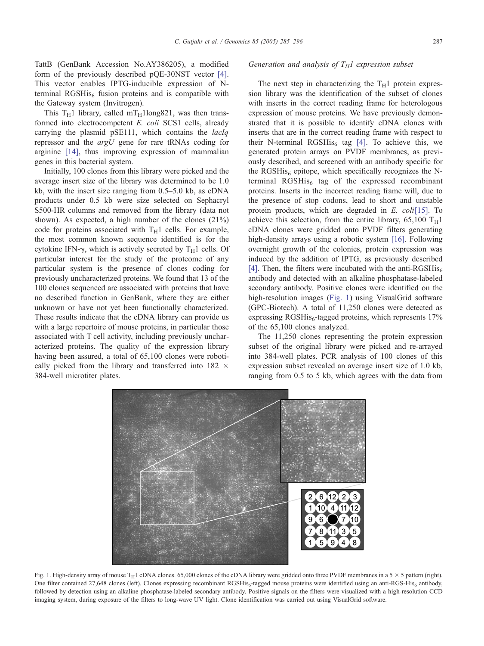TattB (GenBank Accession No.AY386205), a modified form of the previously described pQE-30NST vector [\[4\].](#page-10-0) This vector enables IPTG-inducible expression of Nterminal RGSHis<sub>6</sub> fusion proteins and is compatible with the Gateway system (Invitrogen).

This T<sub>H</sub>1 library, called mT<sub>H</sub>1long821, was then transformed into electrocompetent E. coli SCS1 cells, already carrying the plasmid pSE111, which contains the lacIq repressor and the argU gene for rare tRNAs coding for arginine [\[14\],](#page-10-0) thus improving expression of mammalian genes in this bacterial system.

Initially, 100 clones from this library were picked and the average insert size of the library was determined to be 1.0 kb, with the insert size ranging from 0.5–5.0 kb, as cDNA products under 0.5 kb were size selected on Sephacryl S500-HR columns and removed from the library (data not shown). As expected, a high number of the clones (21%) code for proteins associated with  $T_H1$  cells. For example, the most common known sequence identified is for the cytokine IFN- $\gamma$ , which is actively secreted by T<sub>H</sub>1 cells. Of particular interest for the study of the proteome of any particular system is the presence of clones coding for previously uncharacterized proteins. We found that 13 of the 100 clones sequenced are associated with proteins that have no described function in GenBank, where they are either unknown or have not yet been functionally characterized. These results indicate that the cDNA library can provide us with a large repertoire of mouse proteins, in particular those associated with T cell activity, including previously uncharacterized proteins. The quality of the expression library having been assured, a total of 65,100 clones were robotically picked from the library and transferred into  $182 \times$ 384-well microtiter plates.

# Generation and analysis of  $T_H1$  expression subset

The next step in characterizing the  $T_H1$  protein expression library was the identification of the subset of clones with inserts in the correct reading frame for heterologous expression of mouse proteins. We have previously demonstrated that it is possible to identify cDNA clones with inserts that are in the correct reading frame with respect to their N-terminal RGSHis $_6$  tag [\[4\].](#page-10-0) To achieve this, we generated protein arrays on PVDF membranes, as previously described, and screened with an antibody specific for the RGSHis<sub>6</sub> epitope, which specifically recognizes the Nterminal RGSHis $<sub>6</sub>$  tag of the expressed recombinant</sub> proteins. Inserts in the incorrect reading frame will, due to the presence of stop codons, lead to short and unstable protein products, which are degraded in E. coli[\[15\].](#page-10-0) To achieve this selection, from the entire library,  $65,100$  T<sub>H</sub>1 cDNA clones were gridded onto PVDF filters generating high-density arrays using a robotic system [\[16\].](#page-10-0) Following overnight growth of the colonies, protein expression was induced by the addition of IPTG, as previously described [\[4\].](#page-10-0) Then, the filters were incubated with the anti-RGSHis<sub>6</sub> antibody and detected with an alkaline phosphatase-labeled secondary antibody. Positive clones were identified on the high-resolution images (Fig. 1) using VisualGrid software (GPC-Biotech). A total of 11,250 clones were detected as expressing RGSHis<sub>6</sub>-tagged proteins, which represents  $17\%$ of the 65,100 clones analyzed.

The 11,250 clones representing the protein expression subset of the original library were picked and re-arrayed into 384-well plates. PCR analysis of 100 clones of this expression subset revealed an average insert size of 1.0 kb, ranging from 0.5 to 5 kb, which agrees with the data from



Fig. 1. High-density array of mouse T<sub>H</sub>1 cDNA clones. 65,000 clones of the cDNA library were gridded onto three PVDF membranes in a 5  $\times$  5 pattern (right). One filter contained 27,648 clones (left). Clones expressing recombinant RGSHis<sub>6</sub>-tagged mouse proteins were identified using an anti-RGS-His<sub>6</sub> antibody, followed by detection using an alkaline phosphatase-labeled secondary antibody. Positive signals on the filters were visualized with a high-resolution CCD imaging system, during exposure of the filters to long-wave UV light. Clone identification was carried out using VisualGrid software.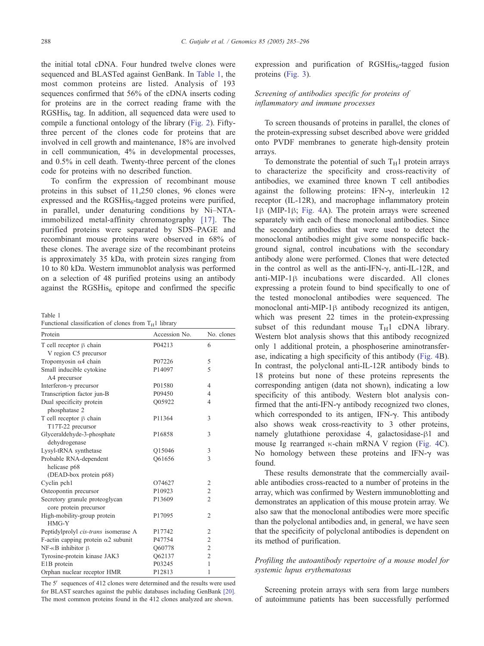<span id="page-3-0"></span>the initial total cDNA. Four hundred twelve clones were sequenced and BLASTed against GenBank. In Table 1, the most common proteins are listed. Analysis of 193 sequences confirmed that 56% of the cDNA inserts coding for proteins are in the correct reading frame with the  $RGSHis<sub>6</sub>$  tag. In addition, all sequenced data were used to compile a functional ontology of the library ([Fig. 2\)](#page-4-0). Fiftythree percent of the clones code for proteins that are involved in cell growth and maintenance, 18% are involved in cell communication, 4% in developmental processes, and 0.5% in cell death. Twenty-three percent of the clones code for proteins with no described function.

To confirm the expression of recombinant mouse proteins in this subset of 11,250 clones, 96 clones were expressed and the  $RGSHis<sub>6</sub>$ -tagged proteins were purified, in parallel, under denaturing conditions by Ni–NTAimmobilized metal-affinity chromatography [\[17\].](#page-10-0) The purified proteins were separated by SDS–PAGE and recombinant mouse proteins were observed in 68% of these clones. The average size of the recombinant proteins is approximately 35 kDa, with protein sizes ranging from 10 to 80 kDa. Western immunoblot analysis was performed on a selection of 48 purified proteins using an antibody against the  $RGSHis<sub>6</sub>$  epitope and confirmed the specific

Table 1

| Functional classification of clones from $T_H1$ library |  |
|---------------------------------------------------------|--|
|---------------------------------------------------------|--|

| Protein                                                  | Accession No.      | No. clones              |  |
|----------------------------------------------------------|--------------------|-------------------------|--|
| T cell receptor $\beta$ chain                            | P04213             | 6                       |  |
| V region C5 precursor                                    |                    |                         |  |
| Tropomyosin $\alpha$ 4 chain                             | P07226             | 5                       |  |
| Small inducible cytokine                                 | P14097             | 5                       |  |
| A4 precursor                                             |                    |                         |  |
| Interferon- $\gamma$ precursor                           | P01580             | 4                       |  |
| Transcription factor jun-B                               | P09450             | $\overline{4}$          |  |
| Dual specificity protein                                 | Q05922             | $\overline{4}$          |  |
| phosphatase 2                                            |                    |                         |  |
| T cell receptor $\beta$ chain                            | P11364             | 3                       |  |
| T17T-22 precursor                                        |                    |                         |  |
| Glyceraldehyde-3-phosphate                               | P <sub>16858</sub> | 3                       |  |
| dehydrogenase                                            |                    |                         |  |
| Lysyl-tRNA synthetase                                    | O15046             | 3                       |  |
| Probable RNA-dependent                                   | O61656             | 3                       |  |
| helicase p68                                             |                    |                         |  |
| (DEAD-box protein p68)                                   |                    |                         |  |
| Cyclin pch1                                              | O74627             | 2                       |  |
| Osteopontin precursor                                    | P10923             | $\overline{\mathbf{c}}$ |  |
| Secretory granule proteoglycan<br>core protein precursor | P <sub>13609</sub> | $\overline{2}$          |  |
| High-mobility-group protein<br>$HMG-Y$                   | P17095             | $\overline{2}$          |  |
| Peptidylprolyl cis-trans isomerase A                     | P17742             | 2                       |  |
| F-actin capping protein $\alpha$ 2 subunit               | P47754             | $\overline{c}$          |  |
| $NF - \kappa B$ inhibitor $\beta$                        | Q60778             | $\overline{2}$          |  |
| Tyrosine-protein kinase JAK3                             | Q62137             | $\overline{2}$          |  |
| E1B protein                                              | P03245             | $\mathbf{1}$            |  |
| Orphan nuclear receptor HMR                              | P12813             | 1                       |  |

The 5' sequences of 412 clones were determined and the results were used for BLAST searches against the public databases including GenBank [\[20\].](#page-10-0) The most common proteins found in the 412 clones analyzed are shown.

expression and purification of  $RGSHis<sub>6</sub>$ -tagged fusion proteins ([Fig. 3\)](#page-4-0).

# Screening of antibodies specific for proteins of inflammatory and immune processes

To screen thousands of proteins in parallel, the clones of the protein-expressing subset described above were gridded onto PVDF membranes to generate high-density protein arrays.

To demonstrate the potential of such  $T_H1$  protein arrays to characterize the specificity and cross-reactivity of antibodies, we examined three known T cell antibodies against the following proteins: IFN- $\gamma$ , interleukin 12 receptor (IL-12R), and macrophage inflammatory protein  $1\beta$  (MIP-1 $\beta$ ; [Fig. 4A](#page-5-0)). The protein arrays were screened separately with each of these monoclonal antibodies. Since the secondary antibodies that were used to detect the monoclonal antibodies might give some nonspecific background signal, control incubations with the secondary antibody alone were performed. Clones that were detected in the control as well as the anti-IFN- $\gamma$ , anti-IL-12R, and  $anti-MIP-1\beta$  incubations were discarded. All clones expressing a protein found to bind specifically to one of the tested monoclonal antibodies were sequenced. The monoclonal anti-MIP-1 $\beta$  antibody recognized its antigen, which was present 22 times in the protein-expressing subset of this redundant mouse  $T_H1$  cDNA library. Western blot analysis shows that this antibody recognized only 1 additional protein, a phosphoserine aminotransferase, indicating a high specificity of this antibody ([Fig. 4B](#page-5-0)). In contrast, the polyclonal anti-IL-12R antibody binds to 18 proteins but none of these proteins represents the corresponding antigen (data not shown), indicating a low specificity of this antibody. Western blot analysis confirmed that the anti-IFN- $\gamma$  antibody recognized two clones, which corresponded to its antigen,  $IFN-\gamma$ . This antibody also shows weak cross-reactivity to 3 other proteins, namely glutathione peroxidase 4, galactosidase- $\beta$ 1 and mouse Ig rearranged  $\kappa$ -chain mRNA V region ([Fig. 4C](#page-5-0)). No homology between these proteins and IFN- $\gamma$  was found.

These results demonstrate that the commercially available antibodies cross-reacted to a number of proteins in the array, which was confirmed by Western immunoblotting and demonstrates an application of this mouse protein array. We also saw that the monoclonal antibodies were more specific than the polyclonal antibodies and, in general, we have seen that the specificity of polyclonal antibodies is dependent on its method of purification.

# Profiling the autoantibody repertoire of a mouse model for systemic lupus erythematosus

Screening protein arrays with sera from large numbers of autoimmune patients has been successfully performed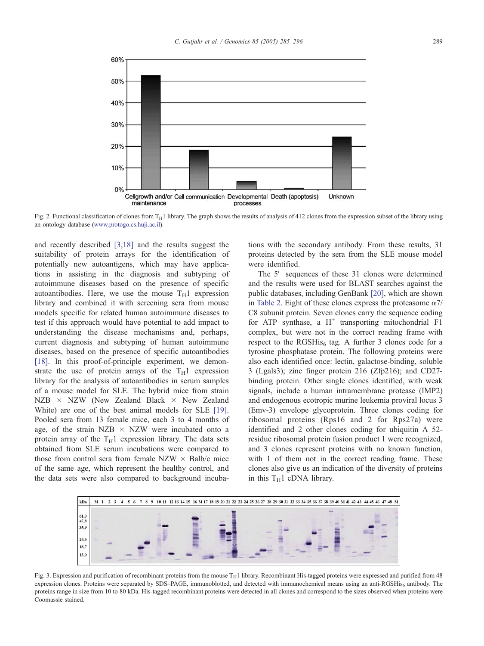<span id="page-4-0"></span>

Fig. 2. Functional classification of clones from  $T_H1$  library. The graph shows the results of analysis of 412 clones from the expression subset of the library using an ontology database ([www.protogo.cs.huji.ac.il\)]( http:www.protogo.cs.huji.ac.il ).

and recently described [\[3,18\]](#page-10-0) and the results suggest the suitability of protein arrays for the identification of potentially new autoantigens, which may have applications in assisting in the diagnosis and subtyping of autoimmune diseases based on the presence of specific autoantibodies. Here, we use the mouse  $T_H1$  expression library and combined it with screening sera from mouse models specific for related human autoimmune diseases to test if this approach would have potential to add impact to understanding the disease mechanisms and, perhaps, current diagnosis and subtyping of human autoimmune diseases, based on the presence of specific autoantibodies [\[18\].](#page-10-0) In this proof-of-principle experiment, we demonstrate the use of protein arrays of the  $T_H1$  expression library for the analysis of autoantibodies in serum samples of a mouse model for SLE. The hybrid mice from strain  $NZB \times NZW$  (New Zealand Black  $\times$  New Zealand White) are one of the best animal models for SLE [\[19\].](#page-10-0) Pooled sera from 13 female mice, each 3 to 4 months of age, of the strain NZB  $\times$  NZW were incubated onto a protein array of the  $T_H1$  expression library. The data sets obtained from SLE serum incubations were compared to those from control sera from female NZW  $\times$  Balb/c mice of the same age, which represent the healthy control, and the data sets were also compared to background incubations with the secondary antibody. From these results, 31 proteins detected by the sera from the SLE mouse model were identified.

The 5' sequences of these 31 clones were determined and the results were used for BLAST searches against the public databases, including GenBank [\[20\],](#page-10-0) which are shown in [Table 2.](#page-6-0) Eight of these clones express the proteasome  $\alpha$ 7/ C8 subunit protein. Seven clones carry the sequence coding for ATP synthase, a  $H^+$  transporting mitochondrial F1 complex, but were not in the correct reading frame with respect to the RGSHis<sub>6</sub> tag. A further 3 clones code for a tyrosine phosphatase protein. The following proteins were also each identified once: lectin, galactose-binding, soluble 3 (Lgals3); zinc finger protein 216 (Zfp216); and CD27 binding protein. Other single clones identified, with weak signals, include a human intramembrane protease (IMP2) and endogenous ecotropic murine leukemia proviral locus 3 (Emv-3) envelope glycoprotein. Three clones coding for ribosomal proteins (Rps16 and 2 for Rps27a) were identified and 2 other clones coding for ubiquitin A 52 residue ribosomal protein fusion product 1 were recognized, and 3 clones represent proteins with no known function, with 1 of them not in the correct reading frame. These clones also give us an indication of the diversity of proteins in this  $T_H1$  cDNA library.



Fig. 3. Expression and purification of recombinant proteins from the mouse  $T_H1$  library. Recombinant His-tagged proteins were expressed and purified from 48 expression clones. Proteins were separated by SDS–PAGE, immunoblotted, and detected with immunochemical means using an anti-RGSHis<sub>6</sub> antibody. The proteins range in size from 10 to 80 kDa. His-tagged recombinant proteins were detected in all clones and correspond to the sizes observed when proteins were Coomassie stained.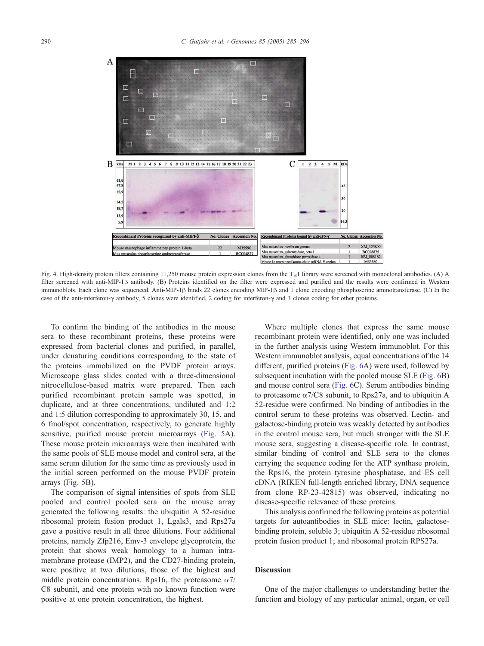<span id="page-5-0"></span>

Fig. 4. High-density protein filters containing 11,250 mouse protein expression clones from the  $T_H1$  library were screened with monoclonal antibodies. (A) A filter screened with anti-MIP-1<sup>B</sup> antibody. (B) Proteins identified on the filter were expressed and purified and the results were confirmed in Western immunoblots. Each clone was sequenced. Anti-MIP-1 $\beta$  binds 22 clones encoding MIP-1 $\beta$  and 1 clone encoding phosphoserine aminotransferase. (C) In the case of the anti-interferon- $\gamma$  antibody, 5 clones were identified, 2 coding for interferon- $\gamma$  and 3 clones coding for other proteins.

To confirm the binding of the antibodies in the mouse sera to these recombinant proteins, these proteins were expressed from bacterial clones and purified, in parallel, under denaturing conditions corresponding to the state of the proteins immobilized on the PVDF protein arrays. Microscope glass slides coated with a three-dimensional nitrocellulose-based matrix were prepared. Then each purified recombinant protein sample was spotted, in duplicate, and at three concentrations, undiluted and 1:2 and 1:5 dilution corresponding to approximately 30, 15, and 6 fmol/spot concentration, respectively, to generate highly sensitive, purified mouse protein microarrays ([Fig. 5A](#page-7-0)). These mouse protein microarrays were then incubated with the same pools of SLE mouse model and control sera, at the same serum dilution for the same time as previously used in the initial screen performed on the mouse PVDF protein arrays ([Fig. 5B](#page-7-0)).

The comparison of signal intensities of spots from SLE pooled and control pooled sera on the mouse array generated the following results: the ubiquitin A 52-residue ribosomal protein fusion product 1, Lgals3, and Rps27a gave a positive result in all three dilutions. Four additional proteins, namely Zfp216, Emv-3 envelope glycoprotein, the protein that shows weak homology to a human intramembrane protease (IMP2), and the CD27-binding protein, were positive at two dilutions, those of the highest and middle protein concentrations. Rps16, the proteasome  $\alpha$ 7/ C8 subunit, and one protein with no known function were positive at one protein concentration, the highest.

Where multiple clones that express the same mouse recombinant protein were identified, only one was included in the further analysis using Western immunoblot. For this Western immunoblot analysis, equal concentrations of the 14 different, purified proteins ([Fig. 6A](#page-7-0)) were used, followed by subsequent incubation with the pooled mouse SLE ([Fig. 6B](#page-7-0)) and mouse control sera ([Fig. 6C](#page-7-0)). Serum antibodies binding to proteasome  $\alpha$ 7/C8 subunit, to Rps27a, and to ubiquitin A 52-residue were confirmed. No binding of antibodies in the control serum to these proteins was observed. Lectin- and galactose-binding protein was weakly detected by antibodies in the control mouse sera, but much stronger with the SLE mouse sera, suggesting a disease-specific role. In contrast, similar binding of control and SLE sera to the clones carrying the sequence coding for the ATP synthase protein, the Rps16, the protein tyrosine phosphatase, and ES cell cDNA (RIKEN full-length enriched library, DNA sequence from clone RP-23-42815) was observed, indicating no disease-specific relevance of these proteins.

This analysis confirmed the following proteins as potential targets for autoantibodies in SLE mice: lectin, galactosebinding protein, soluble 3; ubiquitin A 52-residue ribosomal protein fusion product 1; and ribosomal protein RPS27a.

# **Discussion**

One of the major challenges to understanding better the function and biology of any particular animal, organ, or cell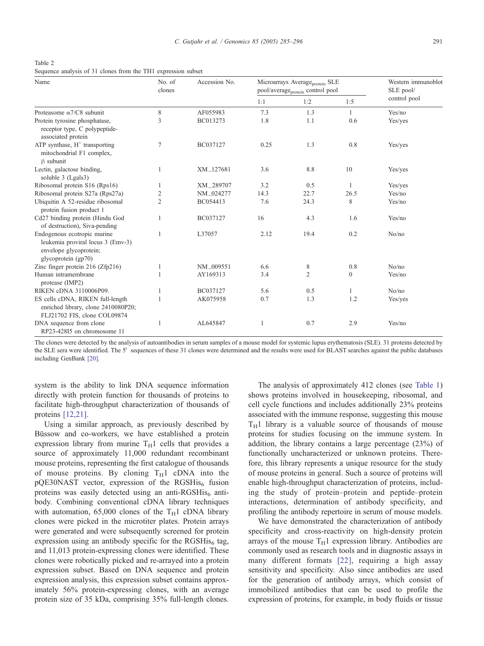<span id="page-6-0"></span>Table 2 Sequence analysis of 31 clones from the TH1 expression subset

| Name                                                                                                              | No. of<br>clones | Accession No. | Microarrays Average <sub>protein</sub> SLE<br>pool/average <sub>protein</sub> control pool |      |                | Western immunoblot<br>SLE pool/ |
|-------------------------------------------------------------------------------------------------------------------|------------------|---------------|--------------------------------------------------------------------------------------------|------|----------------|---------------------------------|
|                                                                                                                   |                  |               | 1:1                                                                                        | 1:2  | 1:5            | control pool                    |
| Proteasome $\alpha$ 7/C8 subunit                                                                                  | 8                | AF055983      | 7.3                                                                                        | 1.3  | $\mathbf{1}$   | Yes/no                          |
| Protein tyrosine phosphatase,<br>receptor type, C polypeptide-<br>associated protein                              | 3                | BC013273      | 1.8                                                                                        | 1.1  | 0.6            | Yes/yes                         |
| ATP synthase, $H^+$ transporting<br>mitochondrial F1 complex,<br>B subunit                                        | 7                | BC037127      | 0.25                                                                                       | 1.3  | 0.8            | Yes/yes                         |
| Lectin, galactose binding,<br>soluble 3 (Lgals3)                                                                  |                  | XM_127681     | 3.6                                                                                        | 8.8  | 10             | Yes/yes                         |
| Ribosomal protein S16 (Rps16)                                                                                     |                  | XM_289707     | 3.2                                                                                        | 0.5  |                | Yes/yes                         |
| Ribosomal protein S27a (Rps27a)                                                                                   | 2                | NM_024277     | 14.3                                                                                       | 22.7 | 26.5           | Yes/no                          |
| Ubiquitin A 52-residue ribosomal<br>protein fusion product 1                                                      | 2                | BC054413      | 7.6                                                                                        | 24.3 | 8              | Yes/no                          |
| Cd27 binding protein (Hindu God<br>of destruction), Siva-pending                                                  |                  | BC037127      | 16                                                                                         | 4.3  | 1.6            | Yes/no                          |
| Endogenous ecotropic murine<br>leukemia proviral locus 3 (Emv-3)<br>envelope glycoprotein;<br>glycoprotein (gp70) |                  | L37057        | 2.12                                                                                       | 19.4 | 0.2            | No/no                           |
| Zinc finger protein 216 (Zfp216)                                                                                  |                  | NM_009551     | 6.6                                                                                        | 8    | 0.8            | No/no                           |
| Human intramembrane<br>protease (IMP2)                                                                            |                  | AY169313      | 3.4                                                                                        | 2    | $\overline{0}$ | Yes/no                          |
| RIKEN cDNA 3110006P09.                                                                                            |                  | BC037127      | 5.6                                                                                        | 0.5  | 1              | No/no                           |
| ES cells cDNA, RIKEN full-length<br>enriched library, clone 2410080P20;<br>FLJ21702 FIS, clone COL09874           |                  | AK075958      | 0.7                                                                                        | 1.3  | 1.2            | Yes/yes                         |
| DNA sequence from clone<br>RP23-428I5 on chromosome 11                                                            |                  | AL645847      | $\overline{1}$                                                                             | 0.7  | 2.9            | Yes/no                          |

The clones were detected by the analysis of autoantibodies in serum samples of a mouse model for systemic lupus erythematosis (SLE). 31 proteins detected by the SLE sera were identified. The 5' sequences of these 31 clones were determined and the results were used for BLAST searches against the public databases including GenBank [\[20\].](#page-10-0)

system is the ability to link DNA sequence information directly with protein function for thousands of proteins to facilitate high-throughput characterization of thousands of proteins [\[12,21\].](#page-10-0)

Using a similar approach, as previously described by Büssow and co-workers, we have established a protein expression library from murine  $T_H1$  cells that provides a source of approximately 11,000 redundant recombinant mouse proteins, representing the first catalogue of thousands of mouse proteins. By cloning  $T_H1$  cDNA into the  $p$ QE30NAST vector, expression of the RGSHis $_6$  fusion proteins was easily detected using an anti-RGSHis $_6$  antibody. Combining conventional cDNA library techniques with automation, 65,000 clones of the  $T_H1$  cDNA library clones were picked in the microtiter plates. Protein arrays were generated and were subsequently screened for protein expression using an antibody specific for the RGSHis $_6$  tag, and 11,013 protein-expressing clones were identified. These clones were robotically picked and re-arrayed into a protein expression subset. Based on DNA sequence and protein expression analysis, this expression subset contains approximately 56% protein-expressing clones, with an average protein size of 35 kDa, comprising 35% full-length clones.

The analysis of approximately 412 clones (see [Table 1\)](#page-3-0) shows proteins involved in housekeeping, ribosomal, and cell cycle functions and includes additionally 23% proteins associated with the immune response, suggesting this mouse  $T_H1$  library is a valuable source of thousands of mouse proteins for studies focusing on the immune system. In addition, the library contains a large percentage (23%) of functionally uncharacterized or unknown proteins. Therefore, this library represents a unique resource for the study of mouse proteins in general. Such a source of proteins will enable high-throughput characterization of proteins, including the study of protein–protein and peptide–protein interactions, determination of antibody specificity, and profiling the antibody repertoire in serum of mouse models.

We have demonstrated the characterization of antibody specificity and cross-reactivity on high-density protein arrays of the mouse  $T_H1$  expression library. Antibodies are commonly used as research tools and in diagnostic assays in many different formats [\[22\],](#page-11-0) requiring a high assay sensitivity and specificity. Also since antibodies are used for the generation of antibody arrays, which consist of immobilized antibodies that can be used to profile the expression of proteins, for example, in body fluids or tissue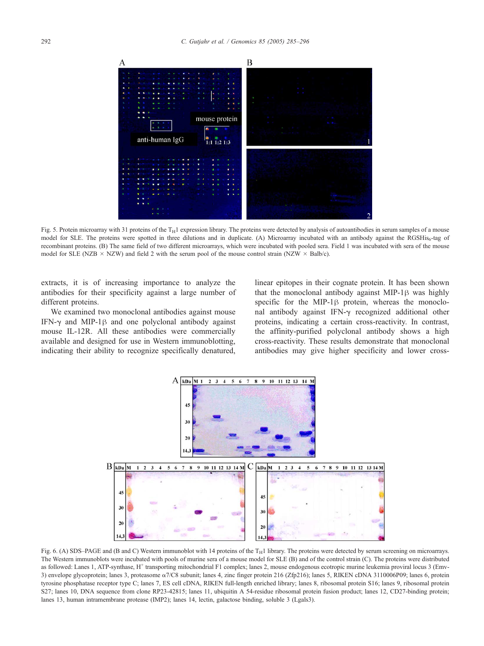<span id="page-7-0"></span>

Fig. 5. Protein microarray with 31 proteins of the  $T_H1$  expression library. The proteins were detected by analysis of autoantibodies in serum samples of a mouse model for SLE. The proteins were spotted in three dilutions and in duplicate. (A) Microarray incubated with an antibody against the RGSHis<sub>6</sub>-tag of recombinant proteins. (B) The same field of two different microarrays, which were incubated with pooled sera. Field 1 was incubated with sera of the mouse model for SLE (NZB  $\times$  NZW) and field 2 with the serum pool of the mouse control strain (NZW  $\times$  Balb/c).

extracts, it is of increasing importance to analyze the antibodies for their specificity against a large number of different proteins.

We examined two monoclonal antibodies against mouse IFN- $\gamma$  and MIP-1 $\beta$  and one polyclonal antibody against mouse IL-12R. All these antibodies were commercially available and designed for use in Western immunoblotting, indicating their ability to recognize specifically denatured, linear epitopes in their cognate protein. It has been shown that the monoclonal antibody against MIP-1 $\beta$  was highly specific for the MIP-1 $\beta$  protein, whereas the monoclonal antibody against IFN- $\gamma$  recognized additional other proteins, indicating a certain cross-reactivity. In contrast, the affinity-purified polyclonal antibody shows a high cross-reactivity. These results demonstrate that monoclonal antibodies may give higher specificity and lower cross-



Fig. 6. (A) SDS–PAGE and (B and C) Western immunoblot with 14 proteins of the  $T_H1$  library. The proteins were detected by serum screening on microarrays. The Western immunoblots were incubated with pools of murine sera of a mouse model for SLE (B) and of the control strain (C). The proteins were distributed as followed: Lanes 1, ATP-synthase, H<sup>+</sup> transporting mitochondrial F1 complex; lanes 2, mouse endogenous ecotropic murine leukemia proviral locus 3 (Emv-3) envelope glycoprotein; lanes 3, proteasome  $\alpha$ 7/C8 subunit; lanes 4, zinc finger protein 216 (Zfp216); lanes 5, RIKEN cDNA 3110006P09; lanes 6, protein tyrosine phosphatase receptor type C; lanes 7, ES cell cDNA, RIKEN full-length enriched library; lanes 8, ribosomal protein S16; lanes 9, ribosomal protein S27; lanes 10, DNA sequence from clone RP23-42815; lanes 11, ubiquitin A 54-residue ribosomal protein fusion product; lanes 12, CD27-binding protein; lanes 13, human intramembrane protease (IMP2); lanes 14, lectin, galactose binding, soluble 3 (Lgals3).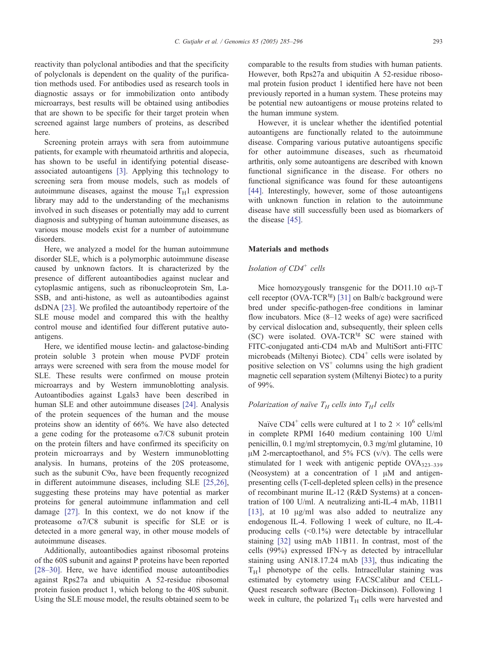reactivity than polyclonal antibodies and that the specificity of polyclonals is dependent on the quality of the purification methods used. For antibodies used as research tools in diagnostic assays or for immobilization onto antibody microarrays, best results will be obtained using antibodies that are shown to be specific for their target protein when screened against large numbers of proteins, as described here.

Screening protein arrays with sera from autoimmune patients, for example with rheumatoid arthritis and alopecia, has shown to be useful in identifying potential diseaseassociated autoantigens [\[3\].](#page-10-0) Applying this technology to screening sera from mouse models, such as models of autoimmune diseases, against the mouse  $T_H1$  expression library may add to the understanding of the mechanisms involved in such diseases or potentially may add to current diagnosis and subtyping of human autoimmune diseases, as various mouse models exist for a number of autoimmune disorders.

Here, we analyzed a model for the human autoimmune disorder SLE, which is a polymorphic autoimmune disease caused by unknown factors. It is characterized by the presence of different autoantibodies against nuclear and cytoplasmic antigens, such as ribonucleoprotein Sm, La-SSB, and anti-histone, as well as autoantibodies against dsDNA [\[23\].](#page-11-0) We profiled the autoantibody repertoire of the SLE mouse model and compared this with the healthy control mouse and identified four different putative autoantigens.

Here, we identified mouse lectin- and galactose-binding protein soluble 3 protein when mouse PVDF protein arrays were screened with sera from the mouse model for SLE. These results were confirmed on mouse protein microarrays and by Western immunoblotting analysis. Autoantibodies against Lgals3 have been described in human SLE and other autoimmune diseases [\[24\].](#page-11-0) Analysis of the protein sequences of the human and the mouse proteins show an identity of 66%. We have also detected a gene coding for the proteasome  $\alpha$ 7/C8 subunit protein on the protein filters and have confirmed its specificity on protein microarrays and by Western immunoblotting analysis. In humans, proteins of the 20S proteasome, such as the subunit  $C9\alpha$ , have been frequently recognized in different autoimmune diseases, including SLE [\[25,26\],](#page-11-0) suggesting these proteins may have potential as marker proteins for general autoimmune inflammation and cell damage [\[27\].](#page-11-0) In this context, we do not know if the proteasome  $\alpha$ 7/C8 subunit is specific for SLE or is detected in a more general way, in other mouse models of autoimmune diseases.

Additionally, autoantibodies against ribosomal proteins of the 60S subunit and against P proteins have been reported [\[28–30\].](#page-11-0) Here, we have identified mouse autoantibodies against Rps27a and ubiquitin A 52-residue ribosomal protein fusion product 1, which belong to the 40S subunit. Using the SLE mouse model, the results obtained seem to be comparable to the results from studies with human patients. However, both Rps27a and ubiquitin A 52-residue ribosomal protein fusion product 1 identified here have not been previously reported in a human system. These proteins may be potential new autoantigens or mouse proteins related to the human immune system.

However, it is unclear whether the identified potential autoantigens are functionally related to the autoimmune disease. Comparing various putative autoantigens specific for other autoimmune diseases, such as rheumatoid arthritis, only some autoantigens are described with known functional significance in the disease. For others no functional significance was found for these autoantigens [\[44\].](#page-11-0) Interestingly, however, some of those autoantigens with unknown function in relation to the autoimmune disease have still successfully been used as biomarkers of the disease [\[45\].](#page-11-0)

#### Materials and methods

# Isolation of  $CD4^+$  cells

Mice homozygously transgenic for the DO11.10  $\alpha\beta$ -T cell receptor (OVA-TCR<sup>tg</sup>) [\[31\]](#page-11-0) on Balb/c background were bred under specific-pathogen-free conditions in laminar flow incubators. Mice (8–12 weeks of age) were sacrificed by cervical dislocation and, subsequently, their spleen cells (SC) were isolated. OVA-TCR<sup>tg</sup> SC were stained with FITC-conjugated anti-CD4 mAb and MultiSort anti-FITC microbeads (Miltenyi Biotec).  $CD4^+$  cells were isolated by positive selection on  $VS^+$  columns using the high gradient magnetic cell separation system (Miltenyi Biotec) to a purity of 99%.

# Polarization of naïve  $T_H$  cells into  $T_H$  cells

Naïve CD4<sup>+</sup> cells were cultured at 1 to  $2 \times 10^6$  cells/ml in complete RPMI 1640 medium containing 100 U/ml penicillin, 0.1 mg/ml streptomycin, 0.3 mg/ml glutamine, 10  $\mu$ M 2-mercaptoethanol, and 5% FCS (v/v). The cells were stimulated for 1 week with antigenic peptide  $OVA_{323-339}$ (Neosystem) at a concentration of  $1 \mu M$  and antigenpresenting cells (T-cell-depleted spleen cells) in the presence of recombinant murine IL-12 (R&D Systems) at a concentration of 100 U/ml. A neutralizing anti-IL-4 mAb, 11B11 [\[13\],](#page-10-0) at 10  $\mu$ g/ml was also added to neutralize any endogenous IL-4. Following 1 week of culture, no IL-4 producing cells  $(\leq 0.1\%)$  were detectable by intracellular staining [\[32\]](#page-11-0) using mAb 11B11. In contrast, most of the cells (99%) expressed IFN- $\gamma$  as detected by intracellular staining using AN18.17.24 mAb [\[33\],](#page-11-0) thus indicating the  $T_H1$  phenotype of the cells. Intracellular staining was estimated by cytometry using FACSCalibur and CELL-Quest research software (Becton–Dickinson). Following 1 week in culture, the polarized  $T_H$  cells were harvested and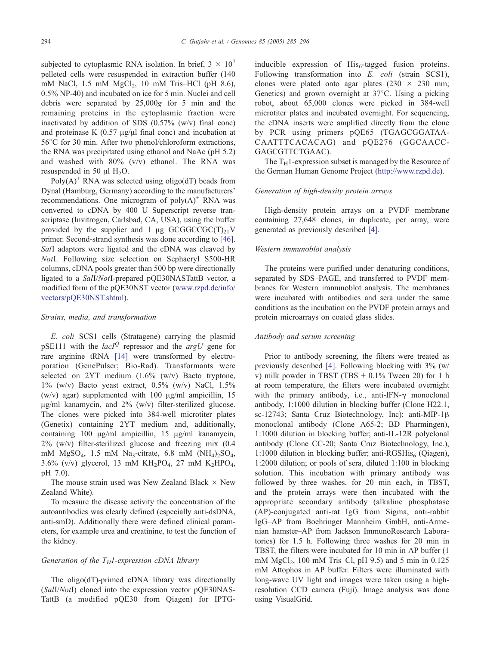subjected to cytoplasmic RNA isolation. In brief,  $3 \times 10^7$ pelleted cells were resuspended in extraction buffer (140 mM NaCl, 1.5 mM  $MgCl<sub>2</sub>$ , 10 mM Tris–HCl (pH 8.6), 0.5% NP-40) and incubated on ice for 5 min. Nuclei and cell debris were separated by 25,000g for 5 min and the remaining proteins in the cytoplasmic fraction were inactivated by addition of SDS (0.57% (w/v) final conc) and proteinase K  $(0.57 \mu g/\mu l \text{ final cone})$  and incubation at  $56^{\circ}$ C for 30 min. After two phenol/chloroform extractions, the RNA was precipitated using ethanol and NaAc (pH 5.2) and washed with 80% (v/v) ethanol. The RNA was resuspended in 50  $\mu$ l H<sub>2</sub>O.

 $Poly(A)^+$  RNA was selected using oligo(dT) beads from Dynal (Hamburg, Germany) according to the manufacturers' recommendations. One microgram of  $poly(A)^+$  RNA was converted to cDNA by 400 U Superscript reverse transcriptase (Invitrogen, Carlsbad, CA, USA), using the buffer provided by the supplier and 1  $\mu$ g GCGGCCGC(T)<sub>21</sub>V primer. Second-strand synthesis was done according to [\[46\].](#page-11-0) SalI adaptors were ligated and the cDNA was cleaved by NotI. Following size selection on Sephacryl S500-HR columns, cDNA pools greater than 500 bp were directionally ligated to a SalI/NotI-prepared pQE30NASTattB vector, a modified form of the pQE30NST vector ([www.rzpd.de/info/]( http:www.rzpd.de\info\vectors\pQE30NST.shtml ) vectors/pQE30NST.shtml).

#### Strains, media, and transformation

E. coli SCS1 cells (Stratagene) carrying the plasmid pSE111 with the *lacI*<sup>Q</sup> repressor and the *argU* gene for rare arginine tRNA [\[14\]](#page-10-0) were transformed by electroporation (GenePulser; Bio-Rad). Transformants were selected on 2YT medium (1.6% (w/v) Bacto tryptone,  $1\%$  (w/v) Bacto yeast extract,  $0.5\%$  (w/v) NaCl,  $1.5\%$ (w/v) agar) supplemented with 100  $\mu$ g/ml ampicillin, 15  $\mu$ g/ml kanamycin, and 2% (w/v) filter-sterilized glucose. The clones were picked into 384-well microtiter plates (Genetix) containing 2YT medium and, additionally, containing 100  $\mu$ g/ml ampicillin, 15  $\mu$ g/ml kanamycin, 2% (w/v) filter-sterilized glucose and freezing mix (0.4 mM  $MgSO<sub>4</sub>$ , 1.5 mM Na<sub>3</sub>-citrate, 6.8 mM  $(NH<sub>4</sub>)<sub>2</sub>SO<sub>4</sub>$ , 3.6% (v/v) glycerol, 13 mM  $KH_2PO_4$ , 27 mM  $K_2HPO_4$ , pH 7.0).

The mouse strain used was New Zealand Black  $\times$  New Zealand White).

To measure the disease activity the concentration of the autoantibodies was clearly defined (especially anti-dsDNA, anti-smD). Additionally there were defined clinical parameters, for example urea and creatinine, to test the function of the kidney.

## Generation of the  $T_H$ 1-expression cDNA library

The oligo(dT)-primed cDNA library was directionally (SalI/NotI) cloned into the expression vector pQE30NAS-TattB (a modified pQE30 from Qiagen) for IPTG-

inducible expression of  $His<sub>6</sub>$ -tagged fusion proteins. Following transformation into E. coli (strain SCS1), clones were plated onto agar plates  $(230 \times 230 \text{ mm})$ ; Genetics) and grown overnight at  $37^{\circ}$ C. Using a picking robot, about 65,000 clones were picked in 384-well microtiter plates and incubated overnight. For sequencing, the cDNA inserts were amplified directly from the clone by PCR using primers pQE65 (TGAGCGGATAA-CAATTTCACACAG) and pQE276 (GGCAACC-GAGCGTTCTGAAC).

The  $T_H$ 1-expression subset is managed by the Resource of the German Human Genome Project ([http://www.rzpd.de\)]( http:\\www.rzpd.de ).

# Generation of high-density protein arrays

High-density protein arrays on a PVDF membrane containing 27,648 clones, in duplicate, per array, were generated as previously described [\[4\].](#page-10-0)

#### Western immunoblot analysis

The proteins were purified under denaturing conditions, separated by SDS–PAGE, and transferred to PVDF membranes for Western immunoblot analysis. The membranes were incubated with antibodies and sera under the same conditions as the incubation on the PVDF protein arrays and protein microarrays on coated glass slides.

#### Antibody and serum screening

Prior to antibody screening, the filters were treated as previously described [\[4\].](#page-10-0) Following blocking with 3% (w/ v) milk powder in TBST (TBS  $+ 0.1\%$  Tween 20) for 1 h at room temperature, the filters were incubated overnight with the primary antibody, i.e., anti-IFN- $\gamma$  monoclonal antibody, 1:1000 dilution in blocking buffer (Clone H22.1, sc-12743; Santa Cruz Biotechnology, Inc); anti-MIP-1 $\beta$ monoclonal antibody (Clone A65-2; BD Pharmingen), 1:1000 dilution in blocking buffer; anti-IL-12R polyclonal antibody (Clone CC-20; Santa Cruz Biotechnology, Inc.), 1:1000 dilution in blocking buffer; anti-RGSHis $_6$  (Qiagen), 1:2000 dilution; or pools of sera, diluted 1:100 in blocking solution. This incubation with primary antibody was followed by three washes, for 20 min each, in TBST, and the protein arrays were then incubated with the appropriate secondary antibody (alkaline phosphatase (AP)-conjugated anti-rat IgG from Sigma, anti-rabbit IgG–AP from Boehringer Mannheim GmbH, anti-Armenian hamster–AP from Jackson ImmunoResearch Laboratories) for 1.5 h. Following three washes for 20 min in TBST, the filters were incubated for 10 min in AP buffer (1 mM MgCl<sub>2</sub>, 100 mM Tris–Cl, pH 9.5) and 5 min in 0.125 mM Attophos in AP buffer. Filters were illuminated with long-wave UV light and images were taken using a highresolution CCD camera (Fuji). Image analysis was done using VisualGrid.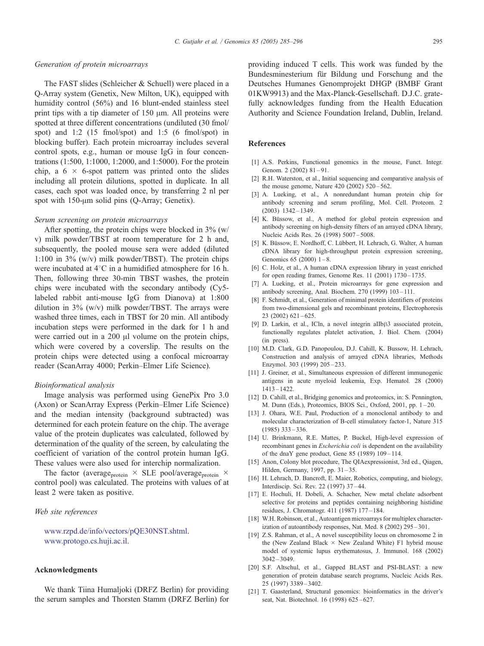#### <span id="page-10-0"></span>Generation of protein microarrays

The FAST slides (Schleicher & Schuell) were placed in a Q-Array system (Genetix, New Milton, UK), equipped with humidity control (56%) and 16 blunt-ended stainless steel print tips with a tip diameter of  $150 \mu m$ . All proteins were spotted at three different concentrations (undiluted (30 fmol/ spot) and 1:2 (15 fmol/spot) and 1:5 (6 fmol/spot) in blocking buffer). Each protein microarray includes several control spots, e.g., human or mouse IgG in four concentrations (1:500, 1:1000, 1:2000, and 1:5000). For the protein chip, a  $6 \times 6$ -spot pattern was printed onto the slides including all protein dilutions, spotted in duplicate. In all cases, each spot was loaded once, by transferring 2 nl per spot with  $150$ - $\mu$ m solid pins (Q-Array; Genetix).

#### Serum screening on protein microarrays

After spotting, the protein chips were blocked in 3% (w/ v) milk powder/TBST at room temperature for 2 h and, subsequently, the pooled mouse sera were added (diluted 1:100 in 3% (w/v) milk powder/TBST). The protein chips were incubated at  $4^{\circ}$ C in a humidified atmosphere for 16 h. Then, following three 30-min TBST washes, the protein chips were incubated with the secondary antibody (Cy5 labeled rabbit anti-mouse IgG from Dianova) at 1:800 dilution in  $3\%$  (w/v) milk powder/TBST. The arrays were washed three times, each in TBST for 20 min. All antibody incubation steps were performed in the dark for 1 h and were carried out in a  $200 \mu l$  volume on the protein chips, which were covered by a coverslip. The results on the protein chips were detected using a confocal microarray reader (ScanArray 4000; Perkin–Elmer Life Science).

## Bioinformatical analysis

Image analysis was performed using GenePix Pro 3.0 (Axon) or ScanArray Express (Perkin–Elmer Life Science) and the median intensity (background subtracted) was determined for each protein feature on the chip. The average value of the protein duplicates was calculated, followed by determination of the quality of the screen, by calculating the coefficient of variation of the control protein human IgG. These values were also used for interchip normalization.

The factor (average<sub>protein</sub>  $\times$  SLE pool/average<sub>protein</sub>  $\times$ control pool) was calculated. The proteins with values of at least 2 were taken as positive.

#### Web site references

[www.rzpd.de/info/vectors/pQE30NST.shtml.]( http:www.rzpd.de\info\vectors\pQE30NST.shtml ) [www.protogo.cs.huji.ac.il.]( http:www.protogo.cs.huji.ac.il )

#### Acknowledgments

We thank Tiina Humaljoki (DRFZ Berlin) for providing the serum samples and Thorsten Stamm (DRFZ Berlin) for providing induced T cells. This work was funded by the Bundesminesterium für Bildung und Forschung and the Deutsches Humanes Genomprojekt DHGP (BMBF Grant 01KW9913) and the Max-Planck-Gesellschaft. D.J.C. gratefully acknowledges funding from the Health Education Authority and Science Foundation Ireland, Dublin, Ireland.

#### References

- [1] A.S. Perkins, Functional genomics in the mouse, Funct. Integr. Genom. 2 (2002) 81-91.
- [2] R.H. Waterston, et al., Initial sequencing and comparative analysis of the mouse genome, Nature 420 (2002) 520-562.
- [3] A. Lueking, et al., A nonredundant human protein chip for antibody screening and serum profiling, Mol. Cell. Proteom. 2 (2003) 1342 – 1349.
- [4] K. Büssow, et al., A method for global protein expression and antibody screening on high-density filters of an arrayed cDNA library, Nucleic Acids Res. 26 (1998) 5007 – 5008.
- [5] K. Büssow, E. Nordhoff, C. Lübbert, H. Lehrach, G. Walter, A human cDNA library for high-throughput protein expression screening, Genomics  $65 (2000) 1 - 8$ .
- [6] C. Holz, et al., A human cDNA expression library in yeast enriched for open reading frames, Genome Res. 11 (2001) 1730-1735.
- [7] A. Lueking, et al., Protein microarrays for gene expression and antibody screening, Anal. Biochem. 270 (1999) 103 – 111.
- [8] F. Schmidt, et al., Generation of minimal protein identifiers of proteins from two-dimensional gels and recombinant proteins, Electrophoresis  $23(2002)$  621-625.
- [9] D. Larkin, et al., ICln, a novel integrin aIIb $\beta$ 3 associated protein, functionally regulates platelet activation, J. Biol. Chem. (2004) (in press).
- [10] M.D. Clark, G.D. Panopoulou, D.J. Cahill, K. Bussow, H. Lehrach, Construction and analysis of arrayed cDNA libraries, Methods Enzymol. 303 (1999) 205 – 233.
- [11] J. Greiner, et al., Simultaneous expression of different immunogenic antigens in acute myeloid leukemia, Exp. Hematol. 28 (2000) 1413 – 1422.
- [12] D. Cahill, et al., Bridging genomics and proteomics, in: S. Pennington, M. Dunn (Eds.), Proteomics, BIOS Sci., Oxford, 2001, pp. 1 – 20.
- [13] J. Ohara, W.E. Paul, Production of a monoclonal antibody to and molecular characterization of B-cell stimulatory factor-1, Nature 315  $(1985)$  333 – 336.
- [14] U. Brinkmann, R.E. Mattes, P. Buckel, High-level expression of recombinant genes in *Escherichia coli* is dependent on the availability of the dnaY gene product, Gene 85 (1989) 109 – 114.
- [15] Anon, Colony blot procedure, The QIAexpressionist, 3rd ed., Qiagen, Hilden, Germany, 1997, pp. 31-35.
- [16] H. Lehrach, D. Bancroft, E. Maier, Robotics, computing, and biology, Interdiscip. Sci. Rev. 22 (1997) 37 – 44.
- [17] E. Hochuli, H. Dobeli, A. Schacher, New metal chelate adsorbent selective for proteins and peptides containing neighboring histidine residues, J. Chromatogr. 411 (1987) 177 – 184.
- [18] W.H. Robinson, et al., Autoantigen microarrays for multiplex characterization of autoantibody responses, Nat. Med. 8 (2002) 295 – 301.
- [19] Z.S. Rahman, et al., A novel susceptibility locus on chromosome 2 in the (New Zealand Black  $\times$  New Zealand White) F1 hybrid mouse model of systemic lupus erythematosus, J. Immunol. 168 (2002)  $3042 - 3049$
- [20] S.F. Altschul, et al., Gapped BLAST and PSI-BLAST: a new generation of protein database search programs, Nucleic Acids Res. 25 (1997) 3389 – 3402.
- [21] T. Gaasterland, Structural genomics: bioinformatics in the driver's seat, Nat. Biotechnol. 16 (1998) 625-627.